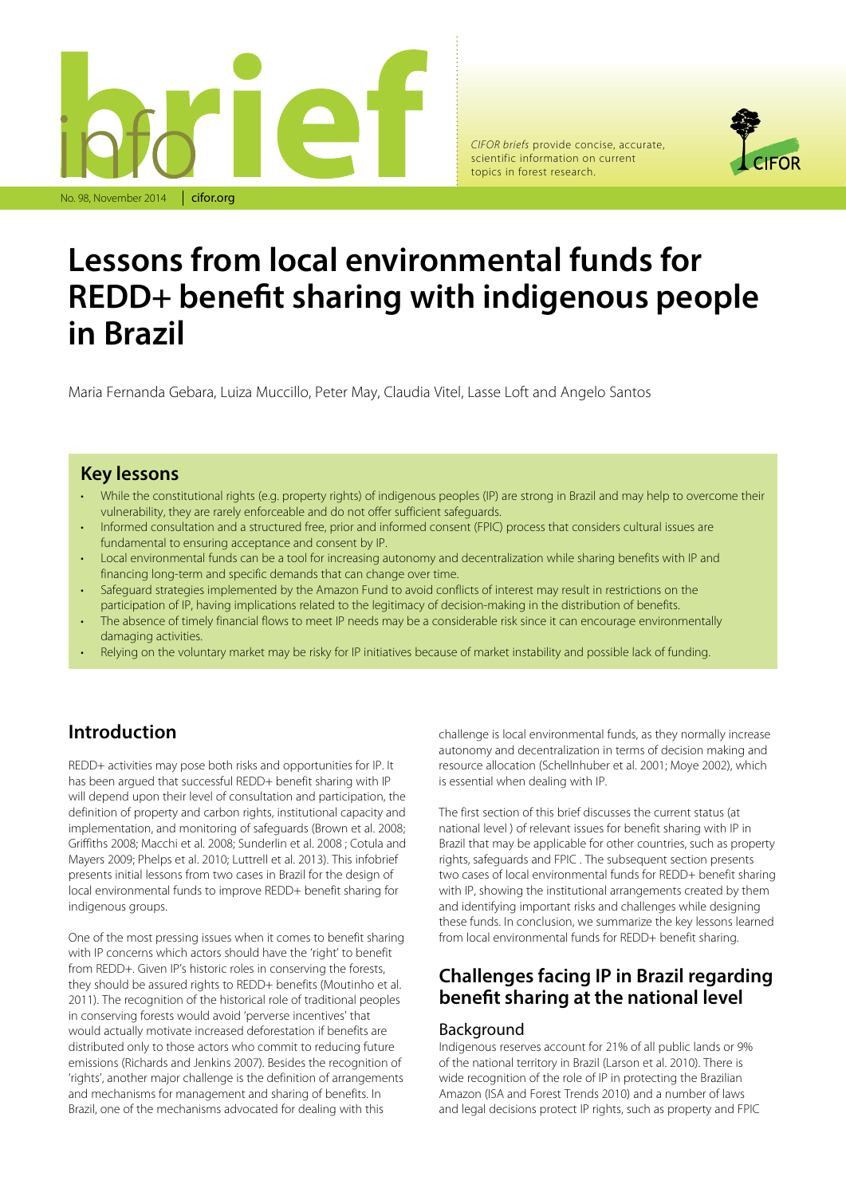

*CIFOR briefs* provide concise, accurate, scientific information on current topics in forest research.



# **Lessons from local environmental funds for REDD+ benefit sharing with indigenous people in Brazil**

Maria Fernanda Gebara, Luiza Muccillo, Peter May, Claudia Vitel, Lasse Loft and Angelo Santos

### **Key lessons**

- While the constitutional rights (e.g. property rights) of indigenous peoples (IP) are strong in Brazil and may help to overcome their vulnerability, they are rarely enforceable and do not offer sufficient safeguards.
- Informed consultation and a structured free, prior and informed consent (FPIC) process that considers cultural issues are fundamental to ensuring acceptance and consent by IP.
- Local environmental funds can be a tool for increasing autonomy and decentralization while sharing benefits with IP and financing long-term and specific demands that can change over time.
- Safeguard strategies implemented by the Amazon Fund to avoid conflicts of interest may result in restrictions on the participation of IP, having implications related to the legitimacy of decision-making in the distribution of benefits.
- The absence of timely financial flows to meet IP needs may be a considerable risk since it can encourage environmentally damaging activities.
- Relying on the voluntary market may be risky for IP initiatives because of market instability and possible lack of funding.

# **Introduction**

REDD+ activities may pose both risks and opportunities for IP. It has been argued that successful REDD+ benefit sharing with IP will depend upon their level of consultation and participation, the definition of property and carbon rights, institutional capacity and implementation, and monitoring of safeguards (Brown et al. 2008; Griffiths 2008; Macchi et al. 2008; Sunderlin et al. 2008 ; Cotula and Mayers 2009; Phelps et al. 2010; Luttrell et al. 2013). This infobrief presents initial lessons from two cases in Brazil for the design of local environmental funds to improve REDD+ benefit sharing for indigenous groups.

One of the most pressing issues when it comes to benefit sharing with IP concerns which actors should have the 'right' to benefit from REDD+. Given IP's historic roles in conserving the forests, they should be assured rights to REDD+ benefits (Moutinho et al. 2011). The recognition of the historical role of traditional peoples in conserving forests would avoid 'perverse incentives' that would actually motivate increased deforestation if benefits are distributed only to those actors who commit to reducing future emissions (Richards and Jenkins 2007). Besides the recognition of 'rights', another major challenge is the definition of arrangements and mechanisms for management and sharing of benefits. In Brazil, one of the mechanisms advocated for dealing with this

challenge is local environmental funds, as they normally increase autonomy and decentralization in terms of decision making and resource allocation (Schellnhuber et al. 2001; Moye 2002), which is essential when dealing with IP.

The first section of this brief discusses the current status (at national level ) of relevant issues for benefit sharing with IP in Brazil that may be applicable for other countries, such as property rights, safeguards and FPIC . The subsequent section presents two cases of local environmental funds for REDD+ benefit sharing with IP, showing the institutional arrangements created by them and identifying important risks and challenges while designing these funds. In conclusion, we summarize the key lessons learned from local environmental funds for REDD+ benefit sharing.

## **Challenges facing IP in Brazil regarding benefit sharing at the national level**

### Background

Indigenous reserves account for 21% of all public lands or 9% of the national territory in Brazil (Larson et al. 2010). There is wide recognition of the role of IP in protecting the Brazilian Amazon (ISA and Forest Trends 2010) and a number of laws and legal decisions protect IP rights, such as property and FPIC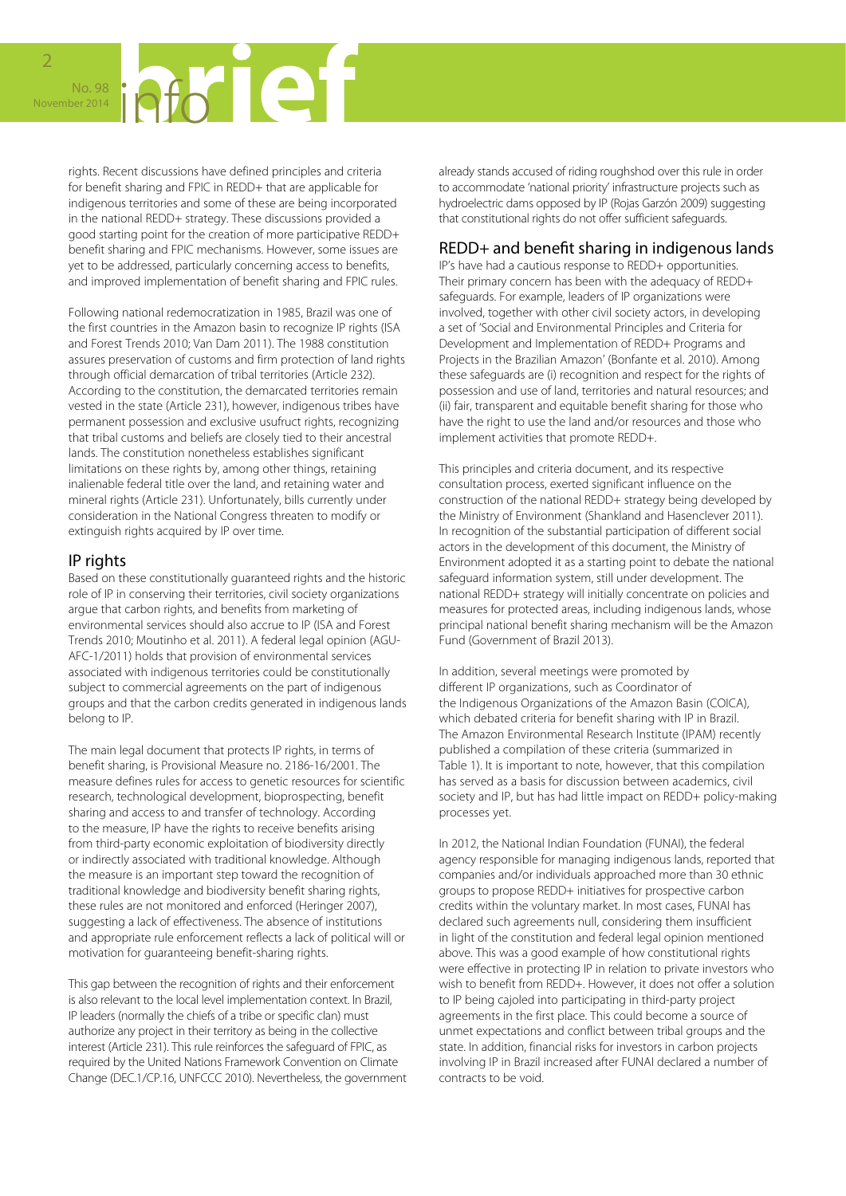

rights. Recent discussions have defined principles and criteria for benefit sharing and FPIC in REDD+ that are applicable for indigenous territories and some of these are being incorporated in the national REDD+ strategy. These discussions provided a good starting point for the creation of more participative REDD+ benefit sharing and FPIC mechanisms. However, some issues are yet to be addressed, particularly concerning access to benefits, and improved implementation of benefit sharing and FPIC rules.

Following national redemocratization in 1985, Brazil was one of the first countries in the Amazon basin to recognize IP rights (ISA and Forest Trends 2010; Van Dam 2011). The 1988 constitution assures preservation of customs and firm protection of land rights through official demarcation of tribal territories (Article 232). According to the constitution, the demarcated territories remain vested in the state (Article 231), however, indigenous tribes have permanent possession and exclusive usufruct rights, recognizing that tribal customs and beliefs are closely tied to their ancestral lands. The constitution nonetheless establishes significant limitations on these rights by, among other things, retaining inalienable federal title over the land, and retaining water and mineral rights (Article 231). Unfortunately, bills currently under consideration in the National Congress threaten to modify or extinguish rights acquired by IP over time.

### IP rights

Based on these constitutionally guaranteed rights and the historic role of IP in conserving their territories, civil society organizations argue that carbon rights, and benefits from marketing of environmental services should also accrue to IP (ISA and Forest Trends 2010; Moutinho et al. 2011). A federal legal opinion (AGU-AFC-1/2011) holds that provision of environmental services associated with indigenous territories could be constitutionally subject to commercial agreements on the part of indigenous groups and that the carbon credits generated in indigenous lands belong to IP.

The main legal document that protects IP rights, in terms of benefit sharing, is Provisional Measure no. 2186-16/2001. The measure defines rules for access to genetic resources for scientific research, technological development, bioprospecting, benefit sharing and access to and transfer of technology. According to the measure, IP have the rights to receive benefits arising from third-party economic exploitation of biodiversity directly or indirectly associated with traditional knowledge. Although the measure is an important step toward the recognition of traditional knowledge and biodiversity benefit sharing rights, these rules are not monitored and enforced (Heringer 2007), suggesting a lack of effectiveness. The absence of institutions and appropriate rule enforcement reflects a lack of political will or motivation for guaranteeing benefit-sharing rights.

This gap between the recognition of rights and their enforcement is also relevant to the local level implementation context. In Brazil, IP leaders (normally the chiefs of a tribe or specific clan) must authorize any project in their territory as being in the collective interest (Article 231). This rule reinforces the safeguard of FPIC, as required by the United Nations Framework Convention on Climate Change (DEC.1/CP.16, UNFCCC 2010). Nevertheless, the government already stands accused of riding roughshod over this rule in order to accommodate 'national priority' infrastructure projects such as hydroelectric dams opposed by IP (Rojas Garzón 2009) suggesting that constitutional rights do not offer sufficient safeguards.

### REDD+ and benefit sharing in indigenous lands

IP's have had a cautious response to REDD+ opportunities. Their primary concern has been with the adequacy of REDD+ safeguards. For example, leaders of IP organizations were involved, together with other civil society actors, in developing a set of 'Social and Environmental Principles and Criteria for Development and Implementation of REDD+ Programs and Projects in the Brazilian Amazon' (Bonfante et al. 2010). Among these safeguards are (i) recognition and respect for the rights of possession and use of land, territories and natural resources; and (ii) fair, transparent and equitable benefit sharing for those who have the right to use the land and/or resources and those who implement activities that promote REDD+.

This principles and criteria document, and its respective consultation process, exerted significant influence on the construction of the national REDD+ strategy being developed by the Ministry of Environment (Shankland and Hasenclever 2011). In recognition of the substantial participation of different social actors in the development of this document, the Ministry of Environment adopted it as a starting point to debate the national safeguard information system, still under development. The national REDD+ strategy will initially concentrate on policies and measures for protected areas, including indigenous lands, whose principal national benefit sharing mechanism will be the Amazon Fund (Government of Brazil 2013).

In addition, several meetings were promoted by different IP organizations, such as Coordinator of the Indigenous Organizations of the Amazon Basin (COICA), which debated criteria for benefit sharing with IP in Brazil. The Amazon Environmental Research Institute (IPAM) recently published a compilation of these criteria (summarized in Table 1). It is important to note, however, that this compilation has served as a basis for discussion between academics, civil society and IP, but has had little impact on REDD+ policy-making processes yet.

In 2012, the National Indian Foundation (FUNAI), the federal agency responsible for managing indigenous lands, reported that companies and/or individuals approached more than 30 ethnic groups to propose REDD+ initiatives for prospective carbon credits within the voluntary market. In most cases, FUNAI has declared such agreements null, considering them insufficient in light of the constitution and federal legal opinion mentioned above. This was a good example of how constitutional rights were effective in protecting IP in relation to private investors who wish to benefit from REDD+. However, it does not offer a solution to IP being cajoled into participating in third-party project agreements in the first place. This could become a source of unmet expectations and conflict between tribal groups and the state. In addition, financial risks for investors in carbon projects involving IP in Brazil increased after FUNAI declared a number of contracts to be void.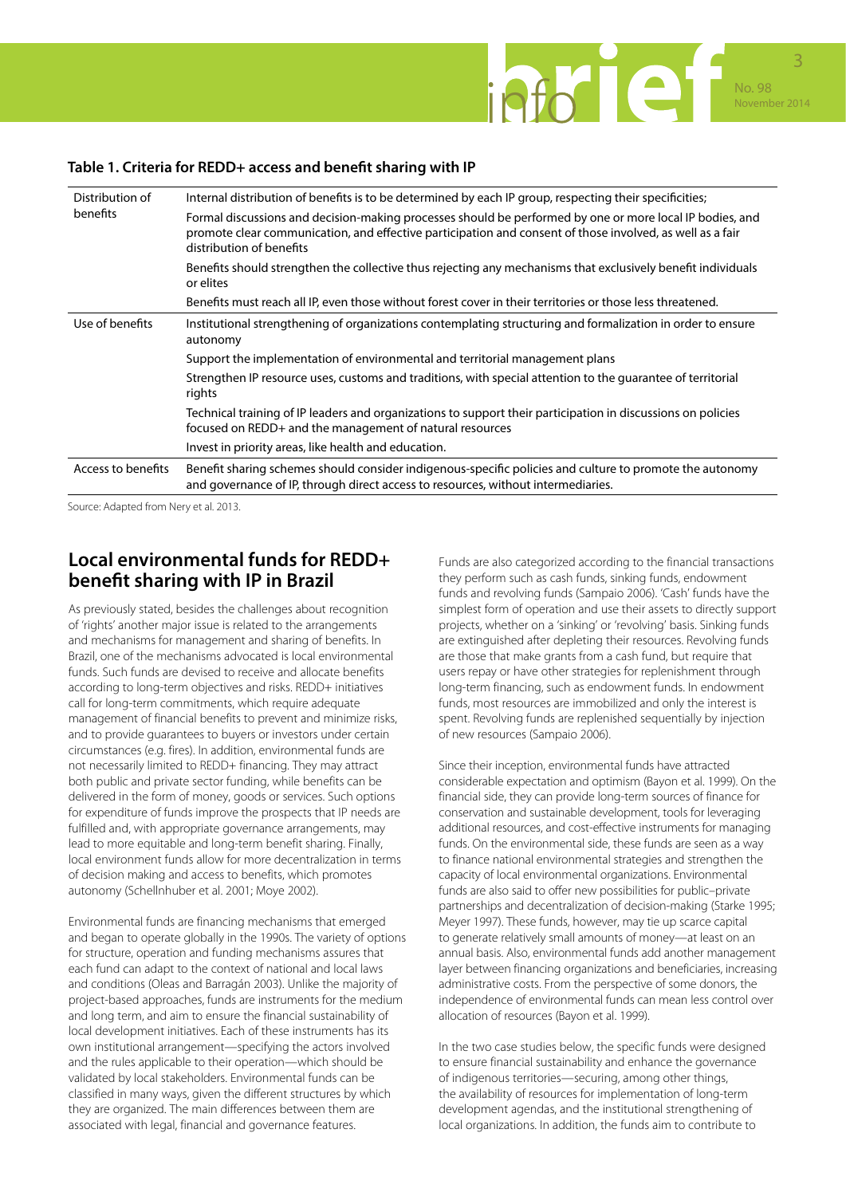

### **Table 1. Criteria for REDD+ access and benefit sharing with IP**

| Distribution of<br>benefits | Internal distribution of benefits is to be determined by each IP group, respecting their specificities;                                                                                                                                           |  |
|-----------------------------|---------------------------------------------------------------------------------------------------------------------------------------------------------------------------------------------------------------------------------------------------|--|
|                             | Formal discussions and decision-making processes should be performed by one or more local IP bodies, and<br>promote clear communication, and effective participation and consent of those involved, as well as a fair<br>distribution of benefits |  |
|                             | Benefits should strengthen the collective thus rejecting any mechanisms that exclusively benefit individuals<br>or elites                                                                                                                         |  |
|                             | Benefits must reach all IP, even those without forest cover in their territories or those less threatened.                                                                                                                                        |  |
| Use of benefits             | Institutional strengthening of organizations contemplating structuring and formalization in order to ensure<br>autonomy                                                                                                                           |  |
|                             | Support the implementation of environmental and territorial management plans                                                                                                                                                                      |  |
|                             | Strengthen IP resource uses, customs and traditions, with special attention to the quarantee of territorial<br>rights                                                                                                                             |  |
|                             | Technical training of IP leaders and organizations to support their participation in discussions on policies<br>focused on REDD+ and the management of natural resources                                                                          |  |
|                             | Invest in priority areas, like health and education.                                                                                                                                                                                              |  |
| Access to benefits          | Benefit sharing schemes should consider indigenous-specific policies and culture to promote the autonomy<br>and governance of IP, through direct access to resources, without intermediaries.                                                     |  |

Source: Adapted from Nery et al. 2013.

# **Local environmental funds for REDD+ benefit sharing with IP in Brazil**

As previously stated, besides the challenges about recognition of 'rights' another major issue is related to the arrangements and mechanisms for management and sharing of benefits. In Brazil, one of the mechanisms advocated is local environmental funds. Such funds are devised to receive and allocate benefits according to long-term objectives and risks. REDD+ initiatives call for long-term commitments, which require adequate management of financial benefits to prevent and minimize risks, and to provide guarantees to buyers or investors under certain circumstances (e.g. fires). In addition, environmental funds are not necessarily limited to REDD+ financing. They may attract both public and private sector funding, while benefits can be delivered in the form of money, goods or services. Such options for expenditure of funds improve the prospects that IP needs are fulfilled and, with appropriate governance arrangements, may lead to more equitable and long-term benefit sharing. Finally, local environment funds allow for more decentralization in terms of decision making and access to benefits, which promotes autonomy (Schellnhuber et al. 2001; Moye 2002).

Environmental funds are financing mechanisms that emerged and began to operate globally in the 1990s. The variety of options for structure, operation and funding mechanisms assures that each fund can adapt to the context of national and local laws and conditions (Oleas and Barragán 2003). Unlike the majority of project-based approaches, funds are instruments for the medium and long term, and aim to ensure the financial sustainability of local development initiatives. Each of these instruments has its own institutional arrangement—specifying the actors involved and the rules applicable to their operation—which should be validated by local stakeholders. Environmental funds can be classified in many ways, given the different structures by which they are organized. The main differences between them are associated with legal, financial and governance features.

Funds are also categorized according to the financial transactions they perform such as cash funds, sinking funds, endowment funds and revolving funds (Sampaio 2006). 'Cash' funds have the simplest form of operation and use their assets to directly support projects, whether on a 'sinking' or 'revolving' basis. Sinking funds are extinguished after depleting their resources. Revolving funds are those that make grants from a cash fund, but require that users repay or have other strategies for replenishment through long-term financing, such as endowment funds. In endowment funds, most resources are immobilized and only the interest is spent. Revolving funds are replenished sequentially by injection of new resources (Sampaio 2006).

Since their inception, environmental funds have attracted considerable expectation and optimism (Bayon et al. 1999). On the financial side, they can provide long-term sources of finance for conservation and sustainable development, tools for leveraging additional resources, and cost-effective instruments for managing funds. On the environmental side, these funds are seen as a way to finance national environmental strategies and strengthen the capacity of local environmental organizations. Environmental funds are also said to offer new possibilities for public–private partnerships and decentralization of decision-making (Starke 1995; Meyer 1997). These funds, however, may tie up scarce capital to generate relatively small amounts of money—at least on an annual basis. Also, environmental funds add another management layer between financing organizations and beneficiaries, increasing administrative costs. From the perspective of some donors, the independence of environmental funds can mean less control over allocation of resources (Bayon et al. 1999).

In the two case studies below, the specific funds were designed to ensure financial sustainability and enhance the governance of indigenous territories—securing, among other things, the availability of resources for implementation of long-term development agendas, and the institutional strengthening of local organizations. In addition, the funds aim to contribute to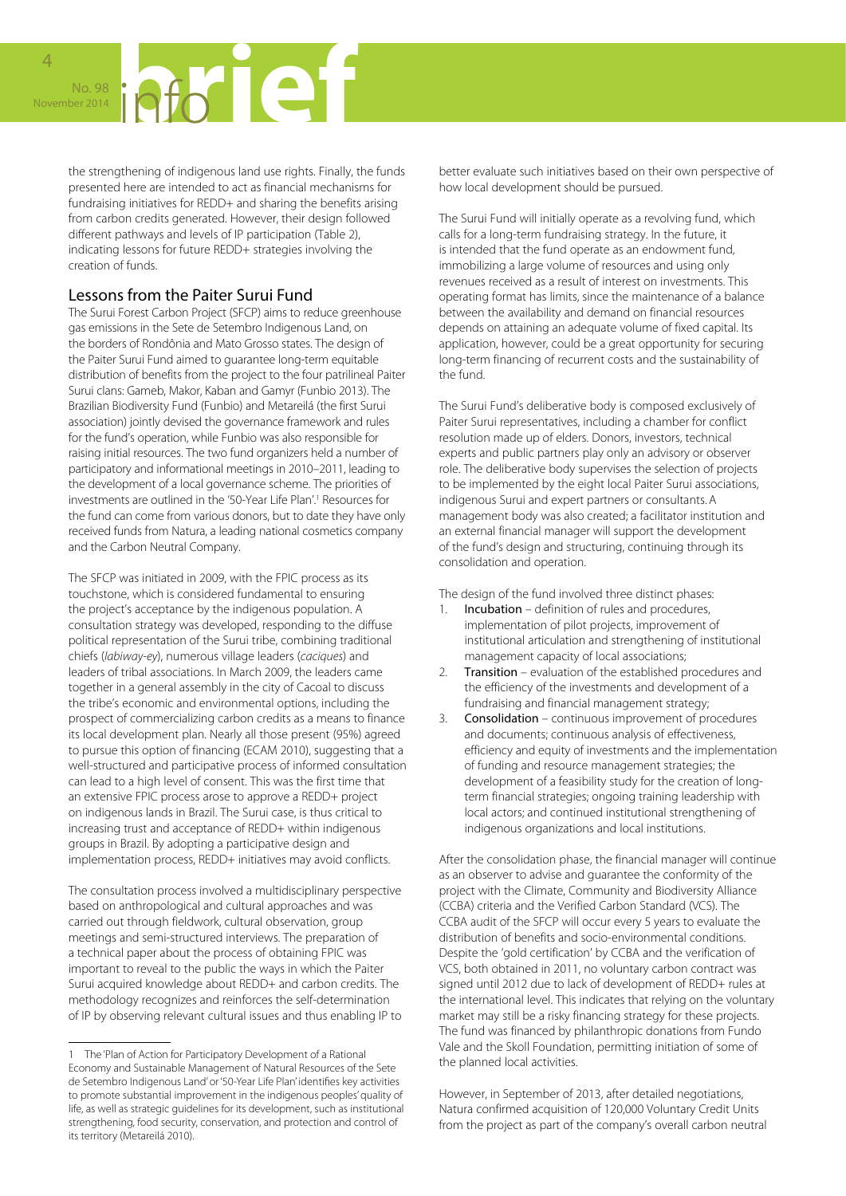# No. 98 **ALCONDUCE** November 2014

the strengthening of indigenous land use rights. Finally, the funds presented here are intended to act as financial mechanisms for fundraising initiatives for REDD+ and sharing the benefits arising from carbon credits generated. However, their design followed different pathways and levels of IP participation (Table 2), indicating lessons for future REDD+ strategies involving the creation of funds.

### Lessons from the Paiter Surui Fund

The Surui Forest Carbon Project (SFCP) aims to reduce greenhouse gas emissions in the Sete de Setembro Indigenous Land, on the borders of Rondônia and Mato Grosso states. The design of the Paiter Surui Fund aimed to guarantee long-term equitable distribution of benefits from the project to the four patrilineal Paiter Surui clans: Gameb, Makor, Kaban and Gamyr (Funbio 2013). The Brazilian Biodiversity Fund (Funbio) and Metareilá (the first Surui association) jointly devised the governance framework and rules for the fund's operation, while Funbio was also responsible for raising initial resources. The two fund organizers held a number of participatory and informational meetings in 2010–2011, leading to the development of a local governance scheme. The priorities of investments are outlined in the '50-Year Life Plan'.<sup>1</sup> Resources for the fund can come from various donors, but to date they have only received funds from Natura, a leading national cosmetics company and the Carbon Neutral Company.

The SFCP was initiated in 2009, with the FPIC process as its touchstone, which is considered fundamental to ensuring the project's acceptance by the indigenous population. A consultation strategy was developed, responding to the diffuse political representation of the Surui tribe, combining traditional chiefs (*labiway-ey*), numerous village leaders (*caciques*) and leaders of tribal associations. In March 2009, the leaders came together in a general assembly in the city of Cacoal to discuss the tribe's economic and environmental options, including the prospect of commercializing carbon credits as a means to finance its local development plan. Nearly all those present (95%) agreed to pursue this option of financing (ECAM 2010), suggesting that a well-structured and participative process of informed consultation can lead to a high level of consent. This was the first time that an extensive FPIC process arose to approve a REDD+ project on indigenous lands in Brazil. The Surui case, is thus critical to increasing trust and acceptance of REDD+ within indigenous groups in Brazil. By adopting a participative design and implementation process, REDD+ initiatives may avoid conflicts.

The consultation process involved a multidisciplinary perspective based on anthropological and cultural approaches and was carried out through fieldwork, cultural observation, group meetings and semi-structured interviews. The preparation of a technical paper about the process of obtaining FPIC was important to reveal to the public the ways in which the Paiter Surui acquired knowledge about REDD+ and carbon credits. The methodology recognizes and reinforces the self-determination of IP by observing relevant cultural issues and thus enabling IP to

better evaluate such initiatives based on their own perspective of how local development should be pursued.

The Surui Fund will initially operate as a revolving fund, which calls for a long-term fundraising strategy. In the future, it is intended that the fund operate as an endowment fund, immobilizing a large volume of resources and using only revenues received as a result of interest on investments. This operating format has limits, since the maintenance of a balance between the availability and demand on financial resources depends on attaining an adequate volume of fixed capital. Its application, however, could be a great opportunity for securing long-term financing of recurrent costs and the sustainability of the fund.

The Surui Fund's deliberative body is composed exclusively of Paiter Surui representatives, including a chamber for conflict resolution made up of elders. Donors, investors, technical experts and public partners play only an advisory or observer role. The deliberative body supervises the selection of projects to be implemented by the eight local Paiter Surui associations, indigenous Surui and expert partners or consultants.A management body was also created; a facilitator institution and an external financial manager will support the development of the fund's design and structuring, continuing through its consolidation and operation.

The design of the fund involved three distinct phases:

- Incubation definition of rules and procedures, implementation of pilot projects, improvement of institutional articulation and strengthening of institutional management capacity of local associations;
- 2. Transition evaluation of the established procedures and the efficiency of the investments and development of a fundraising and financial management strategy;
- 3. Consolidation continuous improvement of procedures and documents; continuous analysis of effectiveness, efficiency and equity of investments and the implementation of funding and resource management strategies; the development of a feasibility study for the creation of longterm financial strategies; ongoing training leadership with local actors; and continued institutional strengthening of indigenous organizations and local institutions.

After the consolidation phase, the financial manager will continue as an observer to advise and guarantee the conformity of the project with the Climate, Community and Biodiversity Alliance (CCBA) criteria and the Verified Carbon Standard (VCS). The CCBA audit of the SFCP will occur every 5 years to evaluate the distribution of benefits and socio-environmental conditions. Despite the 'gold certification' by CCBA and the verification of VCS, both obtained in 2011, no voluntary carbon contract was signed until 2012 due to lack of development of REDD+ rules at the international level. This indicates that relying on the voluntary market may still be a risky financing strategy for these projects. The fund was financed by philanthropic donations from Fundo Vale and the Skoll Foundation, permitting initiation of some of the planned local activities.

However, in September of 2013, after detailed negotiations, Natura confirmed acquisition of 120,000 Voluntary Credit Units from the project as part of the company's overall carbon neutral

The 'Plan of Action for Participatory Development of a Rational Economy and Sustainable Management of Natural Resources of the Sete de Setembro Indigenous Land' or '50-Year Life Plan' identifies key activities to promote substantial improvement in the indigenous peoples' quality of life, as well as strategic guidelines for its development, such as institutional strengthening, food security, conservation, and protection and control of its territory (Metareilá 2010).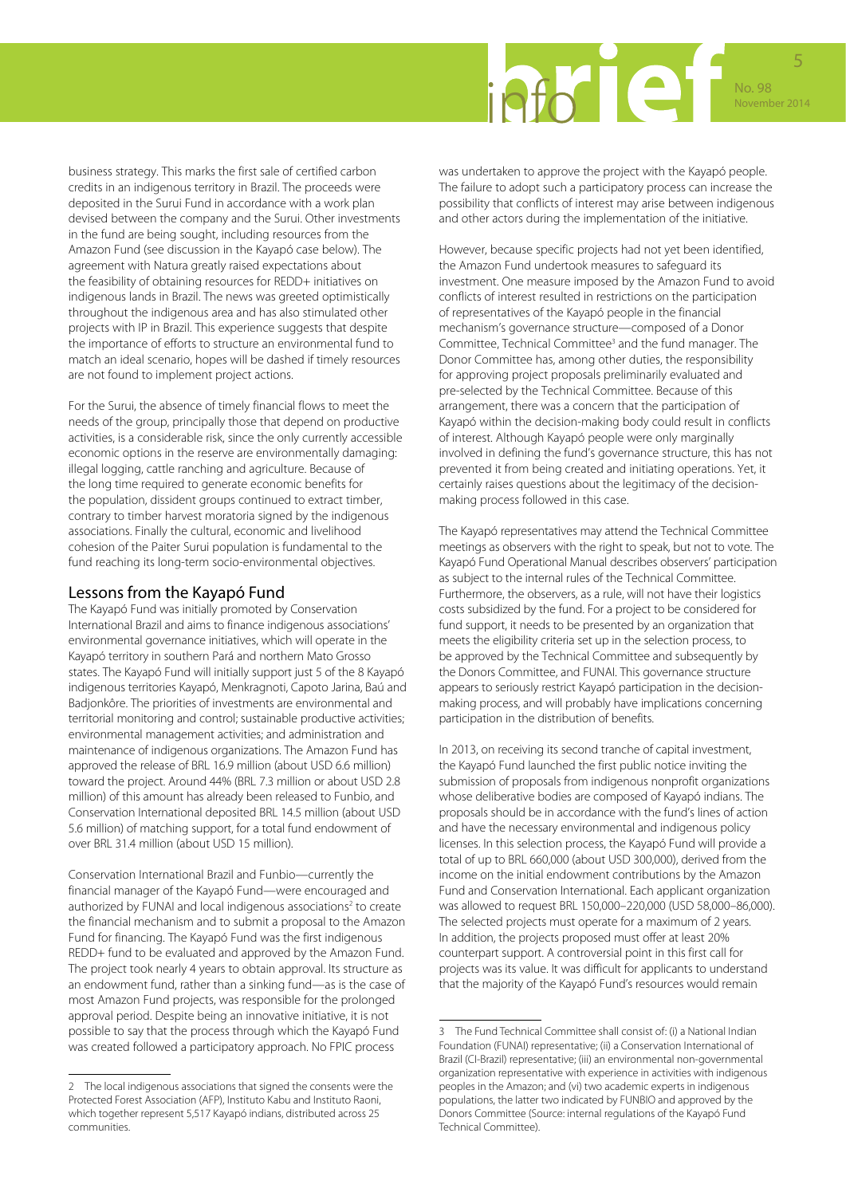

business strategy. This marks the first sale of certified carbon credits in an indigenous territory in Brazil. The proceeds were deposited in the Surui Fund in accordance with a work plan devised between the company and the Surui. Other investments in the fund are being sought, including resources from the Amazon Fund (see discussion in the Kayapó case below). The agreement with Natura greatly raised expectations about the feasibility of obtaining resources for REDD+ initiatives on indigenous lands in Brazil. The news was greeted optimistically throughout the indigenous area and has also stimulated other projects with IP in Brazil. This experience suggests that despite the importance of efforts to structure an environmental fund to match an ideal scenario, hopes will be dashed if timely resources are not found to implement project actions.

For the Surui, the absence of timely financial flows to meet the needs of the group, principally those that depend on productive activities, is a considerable risk, since the only currently accessible economic options in the reserve are environmentally damaging: illegal logging, cattle ranching and agriculture. Because of the long time required to generate economic benefits for the population, dissident groups continued to extract timber, contrary to timber harvest moratoria signed by the indigenous associations. Finally the cultural, economic and livelihood cohesion of the Paiter Surui population is fundamental to the fund reaching its long-term socio-environmental objectives.

### Lessons from the Kayapó Fund

The Kayapó Fund was initially promoted by Conservation International Brazil and aims to finance indigenous associations' environmental governance initiatives, which will operate in the Kayapó territory in southern Pará and northern Mato Grosso states. The Kayapó Fund will initially support just 5 of the 8 Kayapó indigenous territories Kayapó, Menkragnoti, Capoto Jarina, Baú and Badjonkôre. The priorities of investments are environmental and territorial monitoring and control; sustainable productive activities; environmental management activities; and administration and maintenance of indigenous organizations. The Amazon Fund has approved the release of BRL 16.9 million (about USD 6.6 million) toward the project. Around 44% (BRL 7.3 million or about USD 2.8 million) of this amount has already been released to Funbio, and Conservation International deposited BRL 14.5 million (about USD 5.6 million) of matching support, for a total fund endowment of over BRL 31.4 million (about USD 15 million).

Conservation International Brazil and Funbio—currently the financial manager of the Kayapó Fund—were encouraged and authorized by FUNAI and local indigenous associations<sup>2</sup> to create the financial mechanism and to submit a proposal to the Amazon Fund for financing. The Kayapó Fund was the first indigenous REDD+ fund to be evaluated and approved by the Amazon Fund. The project took nearly 4 years to obtain approval. Its structure as an endowment fund, rather than a sinking fund—as is the case of most Amazon Fund projects, was responsible for the prolonged approval period. Despite being an innovative initiative, it is not possible to say that the process through which the Kayapó Fund was created followed a participatory approach. No FPIC process

was undertaken to approve the project with the Kayapó people. The failure to adopt such a participatory process can increase the possibility that conflicts of interest may arise between indigenous and other actors during the implementation of the initiative.

However, because specific projects had not yet been identified, the Amazon Fund undertook measures to safeguard its investment. One measure imposed by the Amazon Fund to avoid conflicts of interest resulted in restrictions on the participation of representatives of the Kayapó people in the financial mechanism's governance structure—composed of a Donor Committee, Technical Committee<sup>3</sup> and the fund manager. The Donor Committee has, among other duties, the responsibility for approving project proposals preliminarily evaluated and pre-selected by the Technical Committee. Because of this arrangement, there was a concern that the participation of Kayapó within the decision-making body could result in conflicts of interest. Although Kayapó people were only marginally involved in defining the fund's governance structure, this has not prevented it from being created and initiating operations. Yet, it certainly raises questions about the legitimacy of the decisionmaking process followed in this case.

The Kayapó representatives may attend the Technical Committee meetings as observers with the right to speak, but not to vote. The Kayapó Fund Operational Manual describes observers' participation as subject to the internal rules of the Technical Committee. Furthermore, the observers, as a rule, will not have their logistics costs subsidized by the fund. For a project to be considered for fund support, it needs to be presented by an organization that meets the eligibility criteria set up in the selection process, to be approved by the Technical Committee and subsequently by the Donors Committee, and FUNAI. This governance structure appears to seriously restrict Kayapó participation in the decisionmaking process, and will probably have implications concerning participation in the distribution of benefits.

In 2013, on receiving its second tranche of capital investment, the Kayapó Fund launched the first public notice inviting the submission of proposals from indigenous nonprofit organizations whose deliberative bodies are composed of Kayapó indians. The proposals should be in accordance with the fund's lines of action and have the necessary environmental and indigenous policy licenses. In this selection process, the Kayapó Fund will provide a total of up to BRL 660,000 (about USD 300,000), derived from the income on the initial endowment contributions by the Amazon Fund and Conservation International. Each applicant organization was allowed to request BRL 150,000–220,000 (USD 58,000–86,000). The selected projects must operate for a maximum of 2 years. In addition, the projects proposed must offer at least 20% counterpart support. A controversial point in this first call for projects was its value. It was difficult for applicants to understand that the majority of the Kayapó Fund's resources would remain

<sup>2</sup> The local indigenous associations that signed the consents were the Protected Forest Association (AFP), Instituto Kabu and Instituto Raoni, which together represent 5,517 Kayapó indians, distributed across 25 communities.

<sup>3</sup> The Fund Technical Committee shall consist of: (i) a National Indian Foundation (FUNAI) representative; (ii) a Conservation International of Brazil (CI-Brazil) representative; (iii) an environmental non-governmental organization representative with experience in activities with indigenous peoples in the Amazon; and (vi) two academic experts in indigenous populations, the latter two indicated by FUNBIO and approved by the Donors Committee (Source: internal regulations of the Kayapó Fund Technical Committee).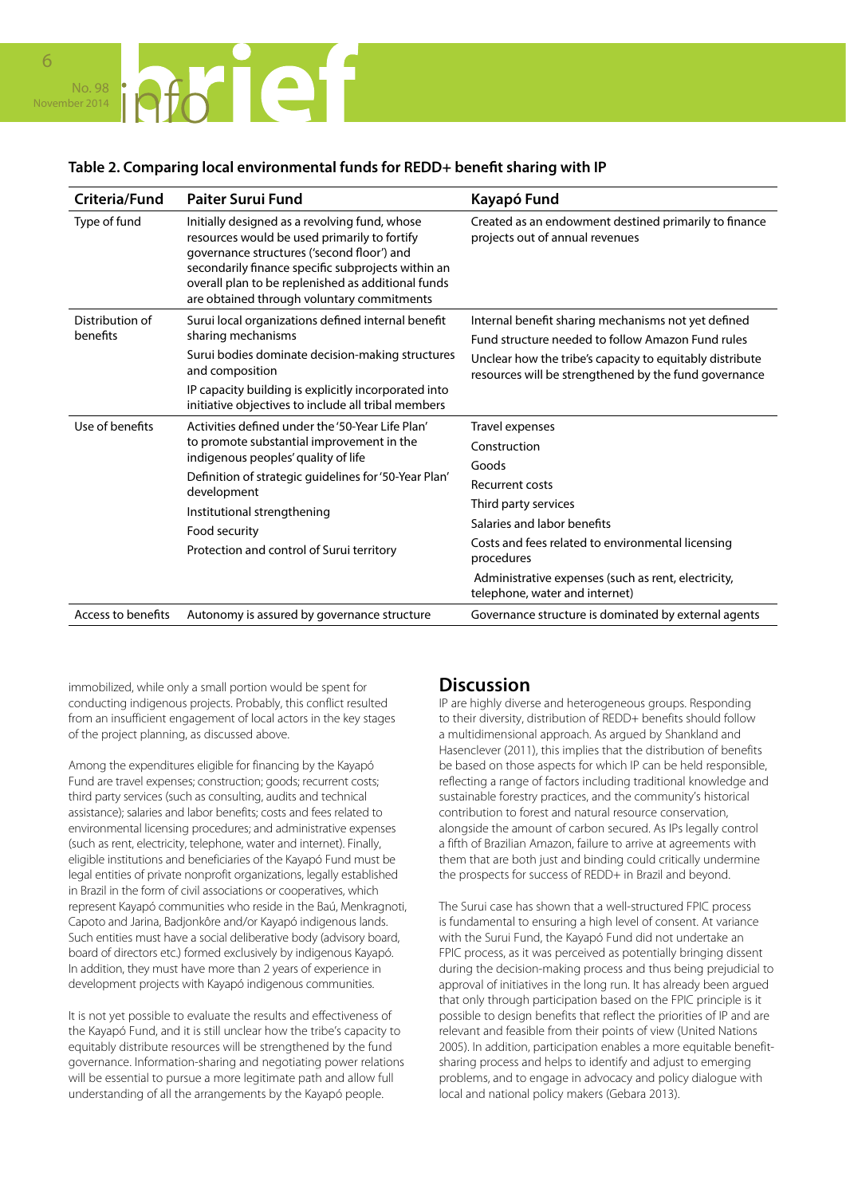

### **Table 2. Comparing local environmental funds for REDD+ benefit sharing with IP**

| Criteria/Fund               | <b>Paiter Surui Fund</b>                                                                                                                                                                                                                                                                                  | Kayapó Fund                                                                                                                                                                                                                                                                    |
|-----------------------------|-----------------------------------------------------------------------------------------------------------------------------------------------------------------------------------------------------------------------------------------------------------------------------------------------------------|--------------------------------------------------------------------------------------------------------------------------------------------------------------------------------------------------------------------------------------------------------------------------------|
| Type of fund                | Initially designed as a revolving fund, whose<br>resources would be used primarily to fortify<br>governance structures ('second floor') and<br>secondarily finance specific subprojects within an<br>overall plan to be replenished as additional funds<br>are obtained through voluntary commitments     | Created as an endowment destined primarily to finance<br>projects out of annual revenues                                                                                                                                                                                       |
| Distribution of<br>benefits | Surui local organizations defined internal benefit<br>sharing mechanisms<br>Surui bodies dominate decision-making structures<br>and composition<br>IP capacity building is explicitly incorporated into<br>initiative objectives to include all tribal members                                            | Internal benefit sharing mechanisms not yet defined<br>Fund structure needed to follow Amazon Fund rules<br>Unclear how the tribe's capacity to equitably distribute<br>resources will be strengthened by the fund governance                                                  |
| Use of benefits             | Activities defined under the '50-Year Life Plan'<br>to promote substantial improvement in the<br>indigenous peoples' quality of life<br>Definition of strategic guidelines for '50-Year Plan'<br>development<br>Institutional strengthening<br>Food security<br>Protection and control of Surui territory | Travel expenses<br>Construction<br>Goods<br>Recurrent costs<br>Third party services<br>Salaries and labor benefits<br>Costs and fees related to environmental licensing<br>procedures<br>Administrative expenses (such as rent, electricity,<br>telephone, water and internet) |
| Access to benefits          | Autonomy is assured by governance structure                                                                                                                                                                                                                                                               | Governance structure is dominated by external agents                                                                                                                                                                                                                           |

immobilized, while only a small portion would be spent for conducting indigenous projects. Probably, this conflict resulted from an insufficient engagement of local actors in the key stages of the project planning, as discussed above.

Among the expenditures eligible for financing by the Kayapó Fund are travel expenses; construction; goods; recurrent costs; third party services (such as consulting, audits and technical assistance); salaries and labor benefits; costs and fees related to environmental licensing procedures; and administrative expenses (such as rent, electricity, telephone, water and internet). Finally, eligible institutions and beneficiaries of the Kayapó Fund must be legal entities of private nonprofit organizations, legally established in Brazil in the form of civil associations or cooperatives, which represent Kayapó communities who reside in the Baú, Menkragnoti, Capoto and Jarina, Badjonkôre and/or Kayapó indigenous lands. Such entities must have a social deliberative body (advisory board, board of directors etc.) formed exclusively by indigenous Kayapó. In addition, they must have more than 2 years of experience in development projects with Kayapó indigenous communities.

It is not yet possible to evaluate the results and effectiveness of the Kayapó Fund, and it is still unclear how the tribe's capacity to equitably distribute resources will be strengthened by the fund governance. Information-sharing and negotiating power relations will be essential to pursue a more legitimate path and allow full understanding of all the arrangements by the Kayapó people.

### **Discussion**

IP are highly diverse and heterogeneous groups. Responding to their diversity, distribution of REDD+ benefits should follow a multidimensional approach. As argued by Shankland and Hasenclever (2011), this implies that the distribution of benefits be based on those aspects for which IP can be held responsible, reflecting a range of factors including traditional knowledge and sustainable forestry practices, and the community's historical contribution to forest and natural resource conservation, alongside the amount of carbon secured. As IPs legally control a fifth of Brazilian Amazon, failure to arrive at agreements with them that are both just and binding could critically undermine the prospects for success of REDD+ in Brazil and beyond.

The Surui case has shown that a well-structured FPIC process is fundamental to ensuring a high level of consent. At variance with the Surui Fund, the Kayapó Fund did not undertake an FPIC process, as it was perceived as potentially bringing dissent during the decision-making process and thus being prejudicial to approval of initiatives in the long run. It has already been argued that only through participation based on the FPIC principle is it possible to design benefits that reflect the priorities of IP and are relevant and feasible from their points of view (United Nations 2005). In addition, participation enables a more equitable benefitsharing process and helps to identify and adjust to emerging problems, and to engage in advocacy and policy dialogue with local and national policy makers (Gebara 2013).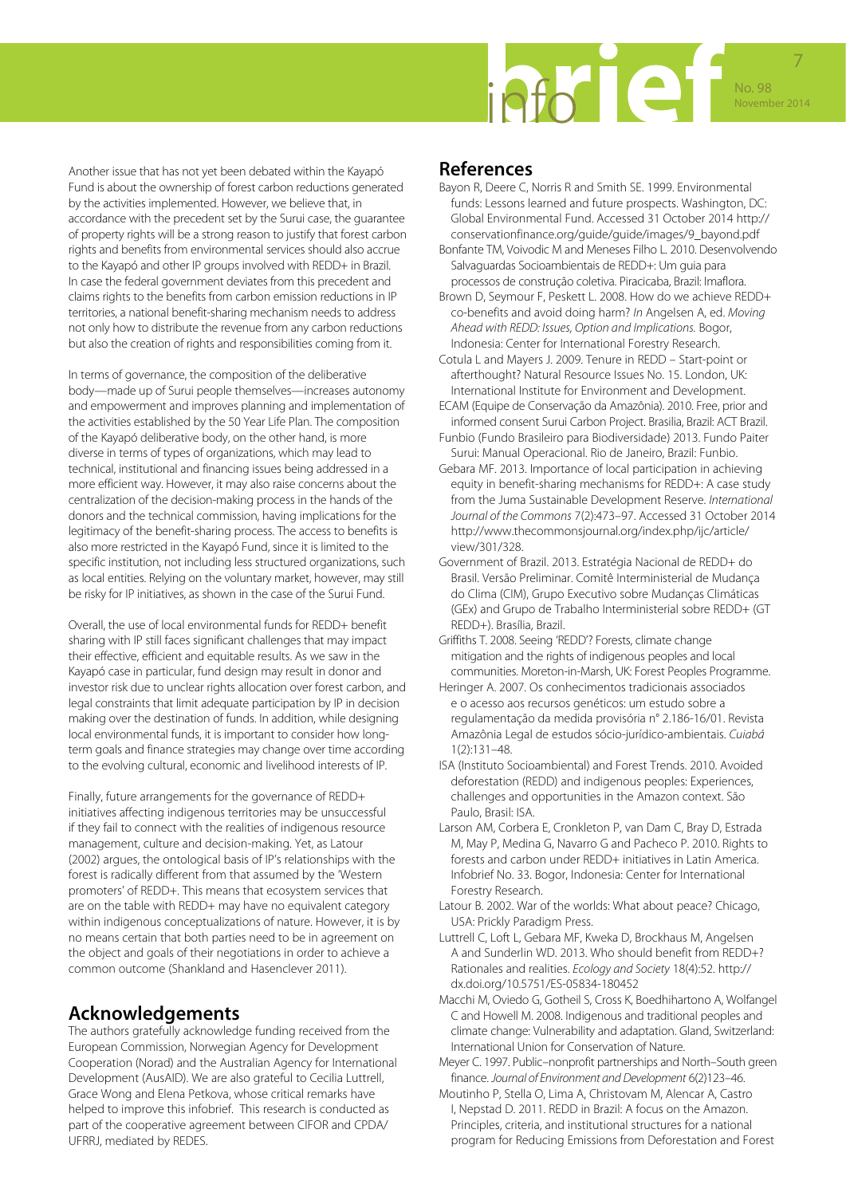

Another issue that has not yet been debated within the Kayapó Fund is about the ownership of forest carbon reductions generated by the activities implemented. However, we believe that, in accordance with the precedent set by the Surui case, the guarantee of property rights will be a strong reason to justify that forest carbon rights and benefits from environmental services should also accrue to the Kayapó and other IP groups involved with REDD+ in Brazil. In case the federal government deviates from this precedent and claims rights to the benefits from carbon emission reductions in IP territories, a national benefit-sharing mechanism needs to address not only how to distribute the revenue from any carbon reductions but also the creation of rights and responsibilities coming from it.

In terms of governance, the composition of the deliberative body—made up of Surui people themselves—increases autonomy and empowerment and improves planning and implementation of the activities established by the 50 Year Life Plan. The composition of the Kayapó deliberative body, on the other hand, is more diverse in terms of types of organizations, which may lead to technical, institutional and financing issues being addressed in a more efficient way. However, it may also raise concerns about the centralization of the decision-making process in the hands of the donors and the technical commission, having implications for the legitimacy of the benefit-sharing process. The access to benefits is also more restricted in the Kayapó Fund, since it is limited to the specific institution, not including less structured organizations, such as local entities. Relying on the voluntary market, however, may still be risky for IP initiatives, as shown in the case of the Surui Fund.

Overall, the use of local environmental funds for REDD+ benefit sharing with IP still faces significant challenges that may impact their effective, efficient and equitable results. As we saw in the Kayapó case in particular, fund design may result in donor and investor risk due to unclear rights allocation over forest carbon, and legal constraints that limit adequate participation by IP in decision making over the destination of funds. In addition, while designing local environmental funds, it is important to consider how longterm goals and finance strategies may change over time according to the evolving cultural, economic and livelihood interests of IP.

Finally, future arrangements for the governance of REDD+ initiatives affecting indigenous territories may be unsuccessful if they fail to connect with the realities of indigenous resource management, culture and decision-making. Yet, as Latour (2002) argues, the ontological basis of IP's relationships with the forest is radically different from that assumed by the 'Western promoters' of REDD+. This means that ecosystem services that are on the table with REDD+ may have no equivalent category within indigenous conceptualizations of nature. However, it is by no means certain that both parties need to be in agreement on the object and goals of their negotiations in order to achieve a common outcome (Shankland and Hasenclever 2011).

# **Acknowledgements**

The authors gratefully acknowledge funding received from the European Commission, Norwegian Agency for Development Cooperation (Norad) and the Australian Agency for International Development (AusAID). We are also grateful to Cecilia Luttrell, Grace Wong and Elena Petkova, whose critical remarks have helped to improve this infobrief. This research is conducted as part of the cooperative agreement between CIFOR and CPDA/ UFRRJ, mediated by REDES.

### **References**

- Bayon R, Deere C, Norris R and Smith SE. 1999. Environmental funds: Lessons learned and future prospects. Washington, DC: Global Environmental Fund. Accessed 31 October 2014 http:// conservationfinance.org/guide/guide/images/9\_bayond.pdf
- Bonfante TM, Voivodic M and Meneses Filho L. 2010. Desenvolvendo Salvaguardas Socioambientais de REDD+: Um guia para processos de construção coletiva. Piracicaba, Brazil: Imaflora.
- Brown D, Seymour F, Peskett L. 2008. How do we achieve REDD+ co-benefits and avoid doing harm? *In* Angelsen A, ed. *Moving Ahead with REDD: Issues, Option and Implications.* Bogor, Indonesia: Center for International Forestry Research.
- Cotula L and Mayers J. 2009. Tenure in REDD Start-point or afterthought? Natural Resource Issues No. 15. London, UK: International Institute for Environment and Development.
- ECAM (Equipe de Conservação da Amazônia). 2010. Free, prior and informed consent Surui Carbon Project. Brasilia, Brazil: ACT Brazil. Funbio (Fundo Brasileiro para Biodiversidade) 2013. Fundo Paiter
- Surui: Manual Operacional. Rio de Janeiro, Brazil: Funbio.
- Gebara MF. 2013. Importance of local participation in achieving equity in benefit-sharing mechanisms for REDD+: A case study from the Juma Sustainable Development Reserve. *International Journal of the Commons* 7(2):473–97. Accessed 31 October 2014 http://www.thecommonsjournal.org/index.php/ijc/article/ view/301/328.
- Government of Brazil. 2013. Estratégia Nacional de REDD+ do Brasil. Versão Preliminar. Comitê Interministerial de Mudança do Clima (CIM), Grupo Executivo sobre Mudanças Climáticas (GEx) and Grupo de Trabalho Interministerial sobre REDD+ (GT REDD+). Brasília, Brazil.
- Griffiths T. 2008. Seeing 'REDD'? Forests, climate change mitigation and the rights of indigenous peoples and local communities. Moreton-in-Marsh, UK: Forest Peoples Programme.
- Heringer A. 2007. Os conhecimentos tradicionais associados e o acesso aos recursos genéticos: um estudo sobre a regulamentação da medida provisória n° 2.186-16/01. Revista Amazônia Legal de estudos sócio-jurídico-ambientais. *Cuiabá* 1(2):131–48.
- ISA (Instituto Socioambiental) and Forest Trends. 2010. Avoided deforestation (REDD) and indigenous peoples: Experiences, challenges and opportunities in the Amazon context. São Paulo, Brasil: ISA.
- Larson AM, Corbera E, Cronkleton P, van Dam C, Bray D, Estrada M, May P, Medina G, Navarro G and Pacheco P. 2010. Rights to forests and carbon under REDD+ initiatives in Latin America. Infobrief No. 33. Bogor, Indonesia: Center for International Forestry Research.
- Latour B. 2002. War of the worlds: What about peace? Chicago, USA: Prickly Paradigm Press.
- Luttrell C, Loft L, Gebara MF, Kweka D, Brockhaus M, Angelsen A and Sunderlin WD. 2013. Who should benefit from REDD+? Rationales and realities. *Ecology and Society* 18(4):52. http:// dx.doi.org/10.5751/ES-05834-180452
- Macchi M, Oviedo G, Gotheil S, Cross K, Boedhihartono A, Wolfangel C and Howell M. 2008. Indigenous and traditional peoples and climate change: Vulnerability and adaptation. Gland, Switzerland: International Union for Conservation of Nature.
- Meyer C. 1997. Public–nonprofit partnerships and North–South green finance. *Journal of Environment and Development* 6(2)123–46.
- Moutinho P, Stella O, Lima A, Christovam M, Alencar A, Castro I, Nepstad D. 2011. REDD in Brazil: A focus on the Amazon. Principles, criteria, and institutional structures for a national program for Reducing Emissions from Deforestation and Forest